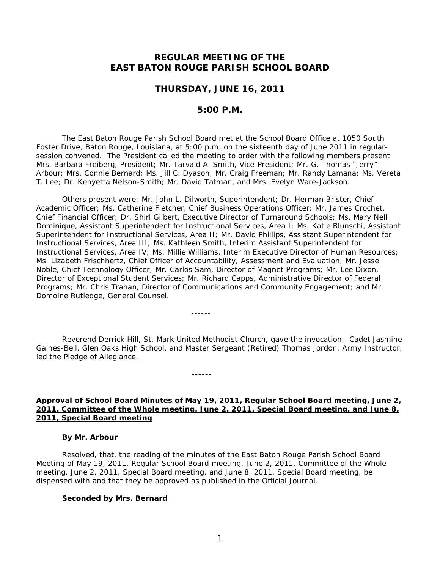# **REGULAR MEETING OF THE EAST BATON ROUGE PARISH SCHOOL BOARD**

### **THURSDAY, JUNE 16, 2011**

# **5:00 P.M.**

The East Baton Rouge Parish School Board met at the School Board Office at 1050 South Foster Drive, Baton Rouge, Louisiana, at 5:00 p.m. on the sixteenth day of June 2011 in regularsession convened. The President called the meeting to order with the following members present: Mrs. Barbara Freiberg, President; Mr. Tarvald A. Smith, Vice-President; Mr. G. Thomas "Jerry" Arbour; Mrs. Connie Bernard; Ms. Jill C. Dyason; Mr. Craig Freeman; Mr. Randy Lamana; Ms. Vereta T. Lee; Dr. Kenyetta Nelson-Smith; Mr. David Tatman, and Mrs. Evelyn Ware-Jackson.

Others present were: Mr. John L. Dilworth, Superintendent; Dr. Herman Brister, Chief Academic Officer; Ms. Catherine Fletcher, Chief Business Operations Officer; Mr. James Crochet, Chief Financial Officer; Dr. Shirl Gilbert, Executive Director of Turnaround Schools; Ms. Mary Nell Dominique, Assistant Superintendent for Instructional Services, Area I; Ms. Katie Blunschi, Assistant Superintendent for Instructional Services, Area II; Mr. David Phillips, Assistant Superintendent for Instructional Services, Area III; Ms. Kathleen Smith, Interim Assistant Superintendent for Instructional Services, Area IV; Ms. Millie Williams, Interim Executive Director of Human Resources; Ms. Lizabeth Frischhertz, Chief Officer of Accountability, Assessment and Evaluation; Mr. Jesse Noble, Chief Technology Officer; Mr. Carlos Sam, Director of Magnet Programs; Mr. Lee Dixon, Director of Exceptional Student Services; Mr. Richard Capps, Administrative Director of Federal Programs; Mr. Chris Trahan, Director of Communications and Community Engagement; and Mr. Domoine Rutledge, General Counsel.

Reverend Derrick Hill, St. Mark United Methodist Church, gave the invocation. Cadet Jasmine Gaines-Bell, Glen Oaks High School, and Master Sergeant (Retired) Thomas Jordon, Army Instructor, led the Pledge of Allegiance.

------

**------**

**Approval of School Board Minutes of May 19, 2011, Regular School Board meeting, June 2, 2011, Committee of the Whole meeting, June 2, 2011, Special Board meeting, and June 8, 2011, Special Board meeting**

#### **By Mr. Arbour**

Resolved, that, the reading of the minutes of the East Baton Rouge Parish School Board Meeting of May 19, 2011, Regular School Board meeting, June 2, 2011, Committee of the Whole meeting, June 2, 2011, Special Board meeting, and June 8, 2011, Special Board meeting, be dispensed with and that they be approved as published in the Official Journal.

#### **Seconded by Mrs. Bernard**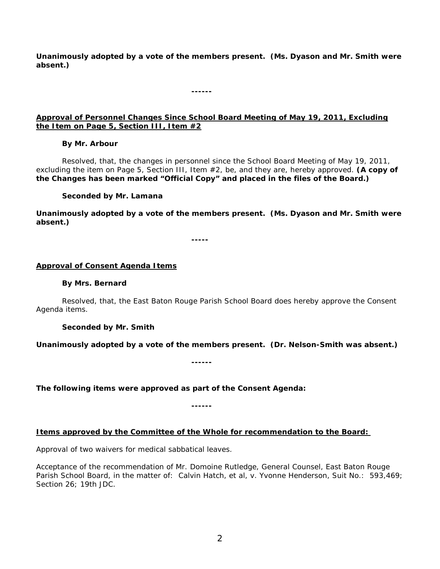**Unanimously adopted by a vote of the members present. (Ms. Dyason and Mr. Smith were absent.)**

**------**

# **Approval of Personnel Changes Since School Board Meeting of May 19, 2011, Excluding the Item on Page 5, Section III, Item #2**

### **By Mr. Arbour**

Resolved, that, the changes in personnel since the School Board Meeting of May 19, 2011, excluding the item on Page 5, Section III, Item #2, be, and they are, hereby approved. **(A copy of the Changes has been marked "Official Copy" and placed in the files of the Board.)**

# **Seconded by Mr. Lamana**

**Unanimously adopted by a vote of the members present. (Ms. Dyason and Mr. Smith were absent.)**

**-----**

# **Approval of Consent Agenda Items**

### **By Mrs. Bernard**

Resolved, that, the East Baton Rouge Parish School Board does hereby approve the Consent Agenda items.

**Seconded by Mr. Smith**

**Unanimously adopted by a vote of the members present. (Dr. Nelson-Smith was absent.)**

**------**

*The following items were approved as part of the Consent Agenda:*

**------**

### **Items approved by the Committee of the Whole for recommendation to the Board:**

Approval of two waivers for medical sabbatical leaves.

Acceptance of the recommendation of Mr. Domoine Rutledge, General Counsel, East Baton Rouge Parish School Board, in the matter of: Calvin Hatch, et al, v. Yvonne Henderson, Suit No.: 593,469; Section 26; 19th JDC.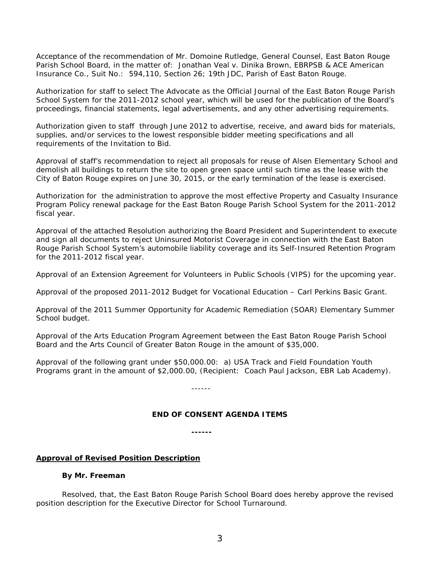Acceptance of the recommendation of Mr. Domoine Rutledge, General Counsel, East Baton Rouge Parish School Board, in the matter of: Jonathan Veal v. Dinika Brown, EBRPSB & ACE American Insurance Co., Suit No.: 594,110, Section 26; 19th JDC, Parish of East Baton Rouge.

Authorization for staff to select The Advocate as the Official Journal of the East Baton Rouge Parish School System for the 2011-2012 school year, which will be used for the publication of the Board's proceedings, financial statements, legal advertisements, and any other advertising requirements.

Authorization given to staff through June 2012 to advertise, receive, and award bids for materials, supplies, and/or services to the lowest responsible bidder meeting specifications and all requirements of the Invitation to Bid.

Approval of staff's recommendation to reject all proposals for reuse of Alsen Elementary School and demolish all buildings to return the site to open green space until such time as the lease with the City of Baton Rouge expires on June 30, 2015, or the early termination of the lease is exercised.

Authorization for the administration to approve the most effective Property and Casualty Insurance Program Policy renewal package for the East Baton Rouge Parish School System for the 2011-2012 fiscal year.

Approval of the attached Resolution authorizing the Board President and Superintendent to execute and sign all documents to reject Uninsured Motorist Coverage in connection with the East Baton Rouge Parish School System's automobile liability coverage and its Self-Insured Retention Program for the 2011-2012 fiscal year.

Approval of an Extension Agreement for Volunteers in Public Schools (VIPS) for the upcoming year.

Approval of the proposed 2011-2012 Budget for Vocational Education – Carl Perkins Basic Grant.

Approval of the 2011 Summer Opportunity for Academic Remediation (SOAR) Elementary Summer School budget.

Approval of the Arts Education Program Agreement between the East Baton Rouge Parish School Board and the Arts Council of Greater Baton Rouge in the amount of \$35,000.

Approval of the following grant under \$50,000.00: a) USA Track and Field Foundation Youth Programs grant in the amount of \$2,000.00, (Recipient: Coach Paul Jackson, EBR Lab Academy).

------

### *END OF CONSENT AGENDA ITEMS*

**------**

### **Approval of Revised Position Description**

#### **By Mr. Freeman**

Resolved, that, the East Baton Rouge Parish School Board does hereby approve the revised position description for the Executive Director for School Turnaround.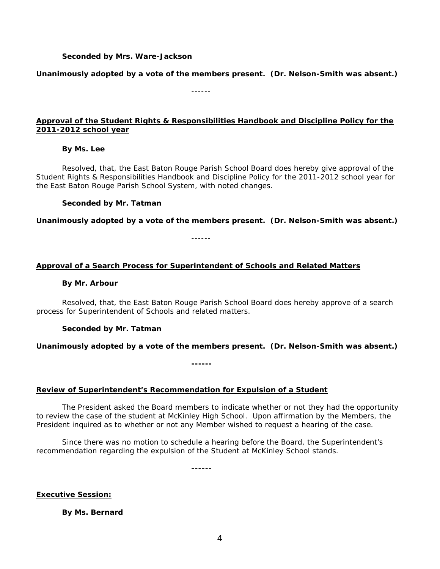#### **Seconded by Mrs. Ware-Jackson**

**Unanimously adopted by a vote of the members present. (Dr. Nelson-Smith was absent.)**

------

# **Approval of the Student Rights & Responsibilities Handbook and Discipline Policy for the 2011-2012 school year**

### **By Ms. Lee**

Resolved, that, the East Baton Rouge Parish School Board does hereby give approval of the Student Rights & Responsibilities Handbook and Discipline Policy for the 2011-2012 school year for the East Baton Rouge Parish School System, with noted changes.

### **Seconded by Mr. Tatman**

**Unanimously adopted by a vote of the members present. (Dr. Nelson-Smith was absent.)**

------

### **Approval of a Search Process for Superintendent of Schools and Related Matters**

#### **By Mr. Arbour**

Resolved, that, the East Baton Rouge Parish School Board does hereby approve of a search process for Superintendent of Schools and related matters.

### **Seconded by Mr. Tatman**

### **Unanimously adopted by a vote of the members present. (Dr. Nelson-Smith was absent.)**

**------**

### **Review of Superintendent's Recommendation for Expulsion of a Student**

The President asked the Board members to indicate whether or not they had the opportunity to review the case of the student at McKinley High School. Upon affirmation by the Members, the President inquired as to whether or not any Member wished to request a hearing of the case.

Since there was no motion to schedule a hearing before the Board, the Superintendent's recommendation regarding the expulsion of the Student at McKinley School stands.

**------**

**Executive Session:** 

**By Ms. Bernard**